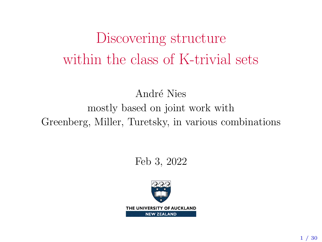# Discovering structure within the class of K-trivial sets

André Nies mostly based on joint work with Greenberg, Miller, Turetsky, in various combinations

Feb 3, 2022

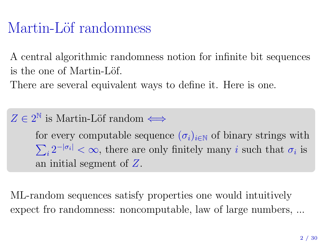# Martin-Löf randomness

A central algorithmic randomness notion for infinite bit sequences is the one of Martin-Löf.

There are several equivalent ways to define it. Here is one.

 $Z \in 2^{\mathbb{N}}$  is Martin-Löf random  $\Longleftrightarrow$ 

for every computable sequence  $(\sigma_i)_{i\in\mathbb{N}}$  of binary strings with  $\sum_i 2^{-|\sigma_i|} < \infty$ , there are only finitely many *i* such that  $\sigma_i$  is an initial segment of Z.

ML-random sequences satisfy properties one would intuitively expect fro randomness: noncomputable, law of large numbers, ...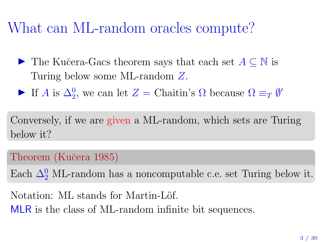## What can ML-random oracles compute?

- $\triangleright$  The Kučera-Gacs theorem says that each set  $A \subseteq \mathbb{N}$  is Turing below some ML-random Z.
- If A is  $\Delta_2^0$ , we can let  $Z =$  Chaitin's  $\Omega$  because  $\Omega \equiv_T \emptyset'$

Conversely, if we are given a ML-random, which sets are Turing below it?

Theorem (Kučera 1985)

Each  $\Delta_2^0$  ML-random has a noncomputable c.e. set Turing below it.

Notation: ML stands for Martin-Löf. MLR is the class of ML-random infinite bit sequences.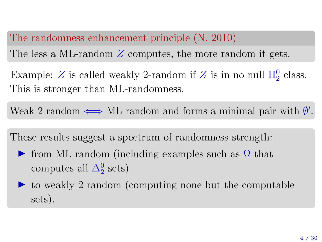### The randomness enhancement principle (N. 2010)

The less a ML-random Z computes, the more random it gets.

Example: Z is called weakly 2-random if Z is in no null  $\Pi_2^0$  class. This is stronger than ML-randomness.

Weak 2-random  $\iff$  ML-random and forms a minimal pair with  $\emptyset'$ .

These results suggest a spectrum of randomness strength:

- $\triangleright$  from ML-random (including examples such as Ω that computes all  $\Delta_2^0$  sets)
- $\triangleright$  to weakly 2-random (computing none but the computable sets).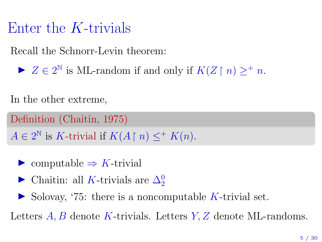### Enter the K-trivials

Recall the Schnorr-Levin theorem:

 $\blacktriangleright$   $Z \in 2^{\mathbb{N}}$  is ML-random if and only if  $K(Z \restriction n) \geq^+ n$ .

In the other extreme,

Definition (Chaitin, 1975)  $A \in 2^{\mathbb{N}}$  is K-trivial if  $K(A \upharpoonright n) \leq^+ K(n)$ .

 $\triangleright$  computable  $\Rightarrow$  K-trivial

► Chaitin: all K-trivials are  $\Delta_2^0$ 

 $\triangleright$  Solovay, '75: there is a noncomputable K-trivial set.

Letters  $A, B$  denote K-trivials. Letters  $Y, Z$  denote ML-randoms.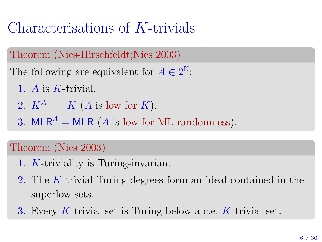# Characterisations of K-trivials

Theorem (Nies-Hirschfeldt;Nies 2003)

The following are equivalent for  $A \in 2^{\mathbb{N}}$ :

- 1. A is K-trivial.
- 2.  $K^A =^+ K$  (A is low for K).
- 3. MLR<sup>A</sup> = MLR (A is low for ML-randomness).

### Theorem (Nies 2003)

- 1. K-triviality is Turing-invariant.
- 2. The K-trivial Turing degrees form an ideal contained in the superlow sets.
- 3. Every K-trivial set is Turing below a c.e. K-trivial set.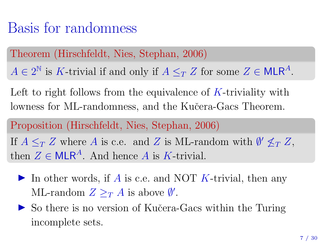### Basis for randomness

Theorem (Hirschfeldt, Nies, Stephan, 2006)

 $A \in 2^{\mathbb{N}}$  is K-trivial if and only if  $A \leq_T Z$  for some  $Z \in \mathsf{MLR}^A$ .

Left to right follows from the equivalence of  $K$ -triviality with lowness for ML-randomness, and the Kučera-Gacs Theorem.

Proposition (Hirschfeldt, Nies, Stephan, 2006) If  $A \leq_T Z$  where A is c.e. and Z is ML-random with  $\emptyset' \nleq_T Z$ , then  $Z \in \mathsf{MLR}^A$ . And hence A is K-trivial.

- In other words, if A is c.e. and NOT K-trivial, then any ML-random  $Z \geq_T A$  is above  $\emptyset'$ .
- ► So there is no version of Kučera-Gacs within the Turing incomplete sets.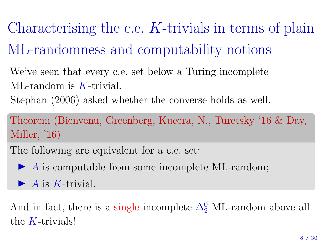Characterising the c.e.  $K$ -trivials in terms of plain ML-randomness and computability notions

We've seen that every c.e. set below a Turing incomplete ML-random is K-trivial.

Stephan (2006) asked whether the converse holds as well.

Theorem (Bienvenu, Greenberg, Kucera, N., Turetsky '16 & Day, Miller, '16)

The following are equivalent for a c.e. set:

 $\blacktriangleright$  A is computable from some incomplete ML-random;

 $\blacktriangleright$  A is K-trivial.

And in fact, there is a single incomplete  $\Delta_2^0$  ML-random above all the  $K$ -trivials!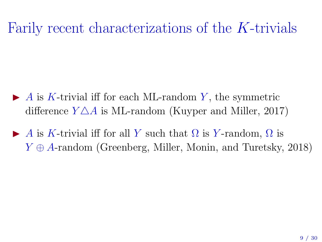# Farily recent characterizations of the K-trivials

- $\blacktriangleright$  A is K-trivial iff for each ML-random Y, the symmetric difference  $Y \triangle A$  is ML-random (Kuyper and Miller, 2017)
- A is K-trivial iff for all Y such that  $\Omega$  is Y-random,  $\Omega$  is  $Y \oplus A$ -random (Greenberg, Miller, Monin, and Turetsky, 2018)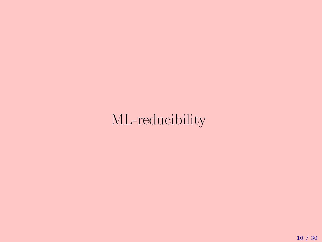# ML-reducibility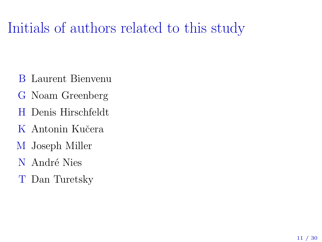# Initials of authors related to this study

- B Laurent Bienvenu
- G Noam Greenberg
- H Denis Hirschfeldt
- K Antonin Kučera
- M Joseph Miller
- N André Nies
- T Dan Turetsky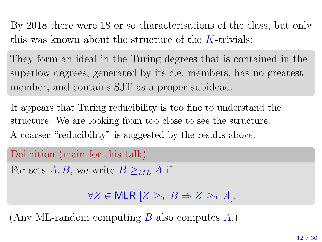By 2018 there were 18 or so characterisations of the class, but only this was known about the structure of the  $K$ -trivials:

They form an ideal in the Turing degrees that is contained in the superlow degrees, generated by its c.e. members, has no greatest member, and contains SJT as a proper subidead.

It appears that Turing reducibility is too fine to understand the structure. We are looking from too close to see the structure. A coarser "reducibility" is suggested by the results above.

```
Definition (main for this talk)
```
For sets A, B, we write  $B >_{ML} A$  if

 $\forall Z \in$  MLR  $[Z >_T B \Rightarrow Z >_T A]$ .

(Any ML-random computing  $B$  also computes  $A$ .)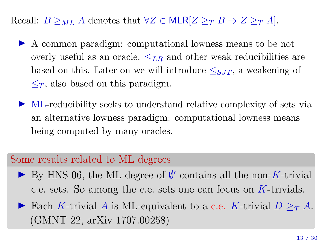Recall:  $B \geq_{ML} A$  denotes that  $\forall Z \in \text{MLR}[Z \geq_T B \Rightarrow Z \geq_T A]$ .

- I A common paradigm: computational lowness means to be not overly useful as an oracle.  $\leq_{LR}$  and other weak reducibilities are based on this. Later on we will introduce  $\leq_{SJT}$ , a weakening of  $\leq_T$ , also based on this paradigm.
- $\triangleright$  ML-reducibility seeks to understand relative complexity of sets via an alternative lowness paradigm: computational lowness means being computed by many oracles.

#### Some results related to ML degrees

- ► By HNS 06, the ML-degree of  $\emptyset'$  contains all the non-K-trivial c.e. sets. So among the c.e. sets one can focus on K-trivials.
- Each K-trivial A is ML-equivalent to a c.e. K-trivial  $D >_{T} A$ . (GMNT 22, arXiv 1707.00258)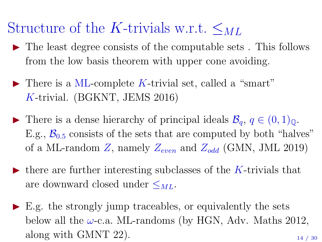## Structure of the K-trivials w.r.t.  $\leq_{ML}$

- $\triangleright$  The least degree consists of the computable sets. This follows from the low basis theorem with upper cone avoiding.
- $\blacktriangleright$  There is a ML-complete K-trivial set, called a "smart" K-trivial. (BGKNT, JEMS 2016)
- ▶ There is a dense hierarchy of principal ideals  $\mathcal{B}_q$ ,  $q \in (0,1)_0$ . E.g.,  $\mathcal{B}_{0.5}$  consists of the sets that are computed by both "halves" of a ML-random Z, namely  $Z_{even}$  and  $Z_{odd}$  (GMN, JML 2019)
- $\triangleright$  there are further interesting subclasses of the K-trivials that are downward closed under  $\leq_{ML}$ .
- $\triangleright$  E.g. the strongly jump traceables, or equivalently the sets below all the  $\omega$ -c.a. ML-randoms (by HGN, Adv. Maths 2012, along with GMNT 22).  $\frac{14}{7}$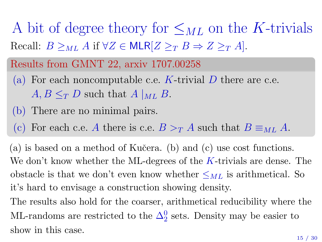A bit of degree theory for  $\leq_{ML}$  on the K-trivials Recall:  $B \geq_{ML} A$  if  $\forall Z \in \mathsf{MLR}[Z \geq_T B \Rightarrow Z \geq_T A]$ .

### Results from GMNT 22, arxiv 1707.00258

- (a) For each noncomputable c.e. K-trivial D there are c.e.  $A, B \leq_T D$  such that  $A|_{ML} B$ .
- (b) There are no minimal pairs.
- (c) For each c.e. A there is c.e.  $B >_{T} A$  such that  $B \equiv_{ML} A$ .

(a) is based on a method of Kuˇcera. (b) and (c) use cost functions. We don't know whether the ML-degrees of the  $K$ -trivials are dense. The obstacle is that we don't even know whether  $\leq_{ML}$  is arithmetical. So it's hard to envisage a construction showing density.

The results also hold for the coarser, arithmetical reducibility where the ML-randoms are restricted to the  $\Delta_2^0$  sets. Density may be easier to show in this case.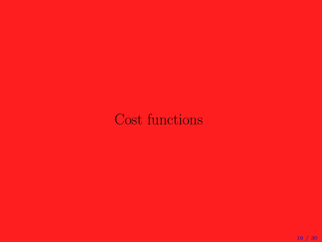## Cost functions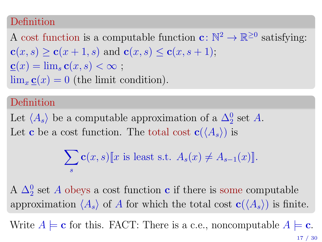#### Definition

A cost function is a computable function  $\mathbf{c} \colon \mathbb{N}^2 \to \mathbb{R}^{\geq 0}$  satisfying:  $c(x, s) > c(x + 1, s)$  and  $c(x, s) < c(x, s + 1)$ ;  $\underline{\mathbf{c}}(x) = \lim_{s} \mathbf{c}(x, s) < \infty;$  $\lim_{x \to \infty} \underline{\mathbf{c}}(x) = 0$  (the limit condition).

#### Definition

Let  $\langle A_s \rangle$  be a computable approximation of a  $\Delta_2^0$  set A. Let **c** be a cost function. The total cost  $c(\langle A_s \rangle)$  is

$$
\sum_{s} \mathbf{c}(x, s) \llbracket x \text{ is least s.t. } A_s(x) \neq A_{s-1}(x) \rrbracket.
$$

A  $\Delta_2^0$  set A obeys a cost function **c** if there is some computable approximation  $\langle A_s \rangle$  of A for which the total cost  $c(\langle A_s \rangle)$  is finite.

Write  $A \models c$  for this. FACT: There is a c.e., noncomputable  $A \models c$ .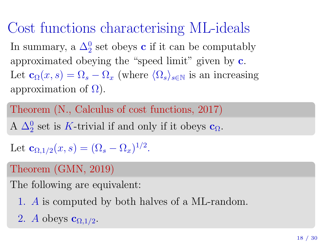Cost functions characterising ML-ideals In summary, a  $\Delta_2^0$  set obeys **c** if it can be computably approximated obeying the "speed limit" given by c. Let  $\mathbf{c}_\Omega(x, s) = \Omega_s - \Omega_x$  (where  $\langle \Omega_s \rangle_{s \in \mathbb{N}}$  is an increasing approximation of  $\Omega$ ).

Theorem (N., Calculus of cost functions, 2017) A  $\Delta_2^0$  set is K-trivial if and only if it obeys  $\mathbf{c}_{\Omega}$ .

Let  $\mathbf{c}_{\Omega,1/2}(x,s) = (\Omega_s - \Omega_x)^{1/2}.$ 

### Theorem (GMN, 2019)

The following are equivalent:

- 1. A is computed by both halves of a ML-random.
- 2. A obeys  $c_{\Omega,1/2}$ .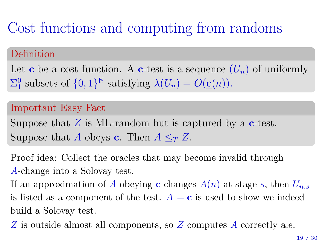# Cost functions and computing from randoms

#### Definition

Let **c** be a cost function. A **c**-test is a sequence  $(U_n)$  of uniformly  $\Sigma_1^0$  subsets of  $\{0,1\}^{\mathbb{N}}$  satisfying  $\lambda(U_n) = O(\underline{\mathbf{c}}(n)).$ 

#### Important Easy Fact

Suppose that  $Z$  is ML-random but is captured by a c-test. Suppose that A obeys **c**. Then  $A \leq_T Z$ .

Proof idea: Collect the oracles that may become invalid through A-change into a Solovay test.

If an approximation of A obeying **c** changes  $A(n)$  at stage s, then  $U_{n,s}$ is listed as a component of the test.  $A \models c$  is used to show we indeed build a Solovay test.

Z is outside almost all components, so Z computes A correctly a.e.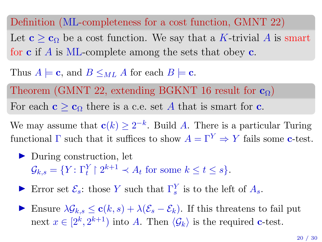Definition (ML-completeness for a cost function, GMNT 22)

Let  $c > c_0$  be a cost function. We say that a K-trivial A is smart for c if A is ML-complete among the sets that obey c.

Thus  $A \models \mathbf{c}$ , and  $B \leq_{ML} A$  for each  $B \models \mathbf{c}$ .

Theorem (GMNT 22, extending BGKNT 16 result for  $c_0$ ) For each  $c > c_0$  there is a c.e. set A that is smart for c.

We may assume that  $c(k) \geq 2^{-k}$ . Build A. There is a particular Turing functional  $\Gamma$  such that it suffices to show  $A = \Gamma^{Y} \Rightarrow Y$  fails some c-test.

 $\triangleright$  During construction, let  $\mathcal{G}_{k,s} = \{ Y : \Gamma_t^Y \mid 2^{k+1} \prec A_t \text{ for some } k \leq t \leq s \}.$ 

Error set  $\mathcal{E}_s$ : those Y such that  $\Gamma_s^Y$  is to the left of  $A_s$ .

 $\triangleright$  Ensure  $\lambda \mathcal{G}_{k,s} \leq \mathbf{c}(k,s) + \lambda(\mathcal{E}_{s} - \mathcal{E}_{k})$ . If this threatens to fail put next  $x \in [2^k, 2^{k+1})$  into A. Then  $\langle \mathcal{G}_k \rangle$  is the required c-test.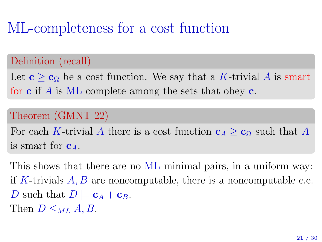# ML-completeness for a cost function

### Definition (recall)

Let  $c > c_0$  be a cost function. We say that a K-trivial A is smart for c if A is ML-complete among the sets that obey c.

### Theorem (GMNT 22)

For each K-trivial A there is a cost function  $c_A \geq c_\Omega$  such that A is smart for  $c_A$ .

This shows that there are no ML-minimal pairs, in a uniform way: if K-trivials  $A, B$  are noncomputable, there is a noncomputable c.e. D such that  $D \models c_A + c_B$ . Then  $D \leq_{ML} A, B$ .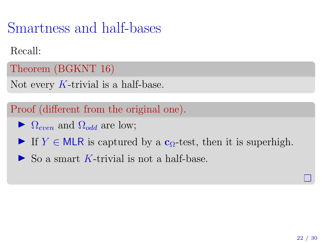Smartness and half-bases

Recall:

Theorem (BGKNT 16)

Not every K-trivial is a half-base.

Proof (different from the original one).

- $\blacktriangleright$   $\Omega_{even}$  and  $\Omega_{odd}$  are low;
- If  $Y \in M \subset \mathbb{R}$  is captured by a  $c_{\Omega}$ -test, then it is superhigh.
- $\triangleright$  So a smart K-trivial is not a half-base.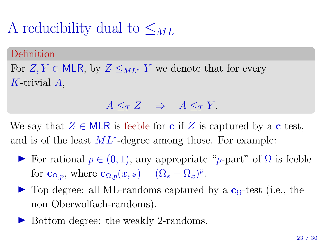# A reducibility dual to  $\leq_{ML}$

#### Definition

For  $Z, Y \in \mathsf{MLR}$ , by  $Z \leq_{ML^*} Y$  we denote that for every K-trivial A,

### $A \leq_T Z \Rightarrow A \leq_T Y$ .

We say that  $Z \in \mathsf{MLR}$  is feeble for **c** if Z is captured by a **c**-test, and is of the least  $ML^*$ -degree among those. For example:

- $\triangleright$  For rational  $p \in (0, 1)$ , any appropriate "*p*-part" of Ω is feeble for  $\mathbf{c}_{\Omega,p}$ , where  $\mathbf{c}_{\Omega,p}(x,s) = (\Omega_s - \Omega_x)^p$ .
- $\triangleright$  Top degree: all ML-randoms captured by a  $c_0$ -test (i.e., the non Oberwolfach-randoms).
- ▶ Bottom degree: the weakly 2-randoms.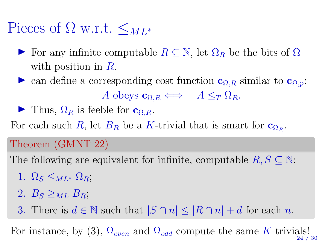# Pieces of  $\Omega$  w.r.t.  $\leq_{ML^*}$

- For any infinite computable  $R \subseteq \mathbb{N}$ , let  $\Omega_R$  be the bits of  $\Omega$ with position in  $\hat{R}$ .
- ightharpoontal contract a corresponding cost function  $\mathbf{c}_{\Omega,R}$  similar to  $\mathbf{c}_{\Omega,p}$ : A obeys  $\mathbf{c}_{\Omega} \leftrightarrow A \leq_T \Omega_R$ .
- I Thus,  $\Omega_R$  is feeble for  $\mathbf{c}_{\Omega,R}$ .

For each such R, let  $B_R$  be a K-trivial that is smart for  $\mathbf{c}_{\Omega_R}$ .

### Theorem (GMNT 22)

The following are equivalent for infinite, computable  $R, S \subseteq \mathbb{N}$ :

- 1.  $\Omega_S \leq_{ML^*} \Omega_R$ ;
- 2.  $B_s >_{ML} B_R$ ;
- 3. There is  $d \in \mathbb{N}$  such that  $|S \cap n| \leq |R \cap n| + d$  for each n.

For instance, by (3),  $\Omega_{even}$  and  $\Omega_{odd}$  compute the same K-trivials! 24 / 30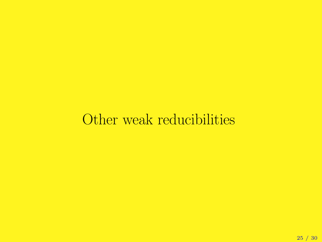## Other weak reducibilities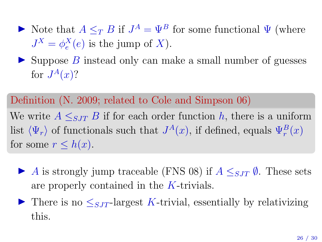- Note that  $A \leq_T B$  if  $J^A = \Psi^B$  for some functional  $\Psi$  (where  $J^X = \phi_e^X(e)$  is the jump of X).
- $\triangleright$  Suppose B instead only can make a small number of guesses for  $J^A(x)$ ?

#### Definition (N. 2009; related to Cole and Simpson 06)

We write  $A \leq_{SJT} B$  if for each order function h, there is a uniform list  $\langle \Psi_r \rangle$  of functionals such that  $J^A(x)$ , if defined, equals  $\Psi_r^B(x)$ for some  $r \leq h(x)$ .

- A is strongly jump traceable (FNS 08) if  $A \leq_{SIT} \emptyset$ . These sets are properly contained in the K-trivials.
- If There is no  $\leq_{SJT}$ -largest K-trivial, essentially by relativizing this.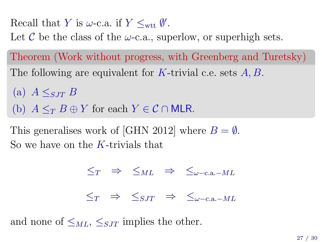Recall that Y is  $\omega$ -c.a. if  $Y \leq_{\text{wtt}} \emptyset'$ .

Let C be the class of the  $\omega$ -c.a., superlow, or superhigh sets.

Theorem (Work without progress, with Greenberg and Turetsky) The following are equivalent for K-trivial c.e. sets  $A, B$ .

(a)  $A \leq_{SIT} B$ (b)  $A \leq_T B \oplus Y$  for each  $Y \in \mathcal{C} \cap MLR$ .

This generalises work of [GHN 2012] where  $B = \emptyset$ . So we have on the  $K$ -trivials that

$$
\begin{array}{rcl}\n\leq_T & \Rightarrow & \leq_{ML} & \Rightarrow & \leq_{\omega-\text{c.a.}-ML} \\
\leq_T & \Rightarrow & \leq_{SJT} & \Rightarrow & \leq_{\omega-\text{c.a.}-ML}\n\end{array}
$$

and none of  $\leq_{ML}$ ,  $\leq_{SIT}$  implies the other.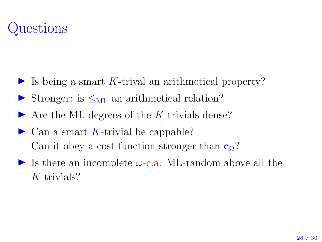# Questions

- Is being a smart K-trival an arithmetical property?
- Stronger: is  $\leq_{ML}$  an arithmetical relation?
- $\triangleright$  Are the ML-degrees of the K-trivials dense?
- $\triangleright$  Can a smart K-trivial be cappable? Can it obey a cost function stronger than  $c_0$ ?
- Is there an incomplete  $\omega$ -c.a. ML-random above all the K-trivials?